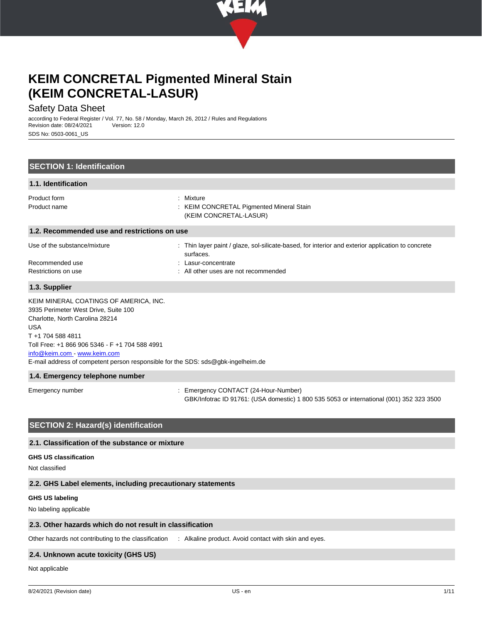

## Safety Data Sheet

according to Federal Register / Vol. 77, No. 58 / Monday, March 26, 2012 / Rules and Regulations Revision date: 08/24/2021 Version: 12.0 SDS No: 0503-0061\_US

|  | <b>SECTION 1: Identification</b> |
|--|----------------------------------|
|--|----------------------------------|

## **1.1. Identification**

Product form : Nixture : Mixture

Product name **Internal State Concrete Accord Figmented Mineral Stain** State Pigmented Mineral Stain (KEIM CONCRETAL-LASUR)

| 1.2. Recommended use and restrictions on use |  |
|----------------------------------------------|--|
|----------------------------------------------|--|

|  |  | Use of the substance/mixture |  |
|--|--|------------------------------|--|
|--|--|------------------------------|--|

: Thin layer paint / glaze, sol-silicate-based, for interior and exterior application to concrete surfaces.

Recommended use : Lasur-concentrate

- Restrictions on use **interest and the COV**  $\sim$  All other uses are not recommended
- **1.3. Supplier**

KEIM MINERAL COATINGS OF AMERICA, INC. 3935 Perimeter West Drive, Suite 100 Charlotte, North Carolina 28214 USA T +1 704 588 4811 Toll Free: +1 866 906 5346 - F +1 704 588 4991 [info@keim.com -](mailto:info@keim.com) [www.keim.com](http://www.keim.com/) E-mail address of competent person responsible for the SDS: sds@gbk-ingelheim.de

## **1.4. Emergency telephone number**

Emergency number : Emergency CONTACT (24-Hour-Number) GBK/Infotrac ID 91761: (USA domestic) 1 800 535 5053 or international (001) 352 323 3500

## **SECTION 2: Hazard(s) identification**

## **2.1. Classification of the substance or mixture**

### **GHS US classification**

Not classified

#### **2.2. GHS Label elements, including precautionary statements**

#### **GHS US labeling**

No labeling applicable

#### **2.3. Other hazards which do not result in classification**

Other hazards not contributing to the classification : Alkaline product. Avoid contact with skin and eyes.

#### **2.4. Unknown acute toxicity (GHS US)**

Not applicable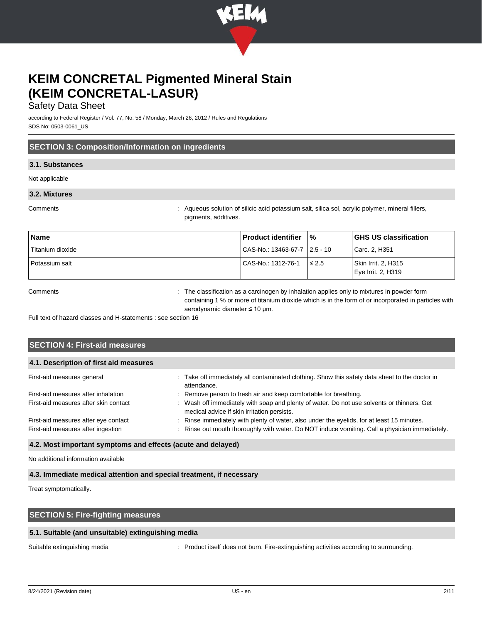

## Safety Data Sheet

according to Federal Register / Vol. 77, No. 58 / Monday, March 26, 2012 / Rules and Regulations SDS No: 0503-0061\_US

## **SECTION 3: Composition/Information on ingredients**

## **3.1. Substances**

Not applicable

## **3.2. Mixtures**

Comments **interval of the solution of silicic acid potassium salt, silica sol, acrylic polymer, mineral fillers,** pigments, additives.

| <b>Name</b>      | <b>Product identifier</b>      | "‰         | <b>GHS US classification</b>              |
|------------------|--------------------------------|------------|-------------------------------------------|
| Titanium dioxide | CAS-No.: 13463-67-7   2.5 - 10 |            | Carc. 2. H351                             |
| Potassium salt   | CAS-No.: 1312-76-1             | $\leq 2.5$ | Skin Irrit. 2, H315<br>Eye Irrit. 2, H319 |

Comments **in the classification as a carcinogen by inhalation applies only to mixtures in powder form** containing 1 % or more of titanium dioxide which is in the form of or incorporated in particles with aerodynamic diameter ≤ 10 μm.

Full text of hazard classes and H-statements : see section 16

| <b>SECTION 4: First-aid measures</b>   |                                                                                                                                           |  |  |  |
|----------------------------------------|-------------------------------------------------------------------------------------------------------------------------------------------|--|--|--|
| 4.1. Description of first aid measures |                                                                                                                                           |  |  |  |
| First-aid measures general             | : Take off immediately all contaminated clothing. Show this safety data sheet to the doctor in<br>attendance.                             |  |  |  |
| First-aid measures after inhalation    | : Remove person to fresh air and keep comfortable for breathing.                                                                          |  |  |  |
| First-aid measures after skin contact  | : Wash off immediately with soap and plenty of water. Do not use solvents or thinners. Get<br>medical advice if skin irritation persists. |  |  |  |
| First-aid measures after eye contact   | : Rinse immediately with plenty of water, also under the eyelids, for at least 15 minutes.                                                |  |  |  |
| First-aid measures after ingestion     | : Rinse out mouth thoroughly with water. Do NOT induce vomiting. Call a physician immediately.                                            |  |  |  |

## **4.2. Most important symptoms and effects (acute and delayed)**

No additional information available

#### **4.3. Immediate medical attention and special treatment, if necessary**

Treat symptomatically.

## **SECTION 5: Fire-fighting measures**

## **5.1. Suitable (and unsuitable) extinguishing media**

Suitable extinguishing media : Product itself does not burn. Fire-extinguishing activities according to surrounding.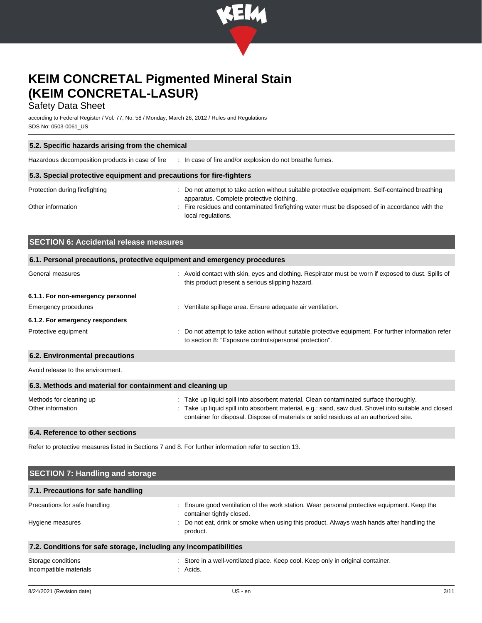

## Safety Data Sheet

according to Federal Register / Vol. 77, No. 58 / Monday, March 26, 2012 / Rules and Regulations SDS No: 0503-0061\_US

| 5.2. Specific hazards arising from the chemical                     |                                                                                                                                                                                                                                                                   |  |  |  |
|---------------------------------------------------------------------|-------------------------------------------------------------------------------------------------------------------------------------------------------------------------------------------------------------------------------------------------------------------|--|--|--|
| Hazardous decomposition products in case of fire                    | : In case of fire and/or explosion do not breathe fumes.                                                                                                                                                                                                          |  |  |  |
| 5.3. Special protective equipment and precautions for fire-fighters |                                                                                                                                                                                                                                                                   |  |  |  |
| Protection during firefighting<br>Other information                 | : Do not attempt to take action without suitable protective equipment. Self-contained breathing<br>apparatus. Complete protective clothing.<br>Fire residues and contaminated firefighting water must be disposed of in accordance with the<br>local regulations. |  |  |  |

| <b>SECTION 6: Accidental release measures</b>                            |                                                                                                                                                        |  |  |  |
|--------------------------------------------------------------------------|--------------------------------------------------------------------------------------------------------------------------------------------------------|--|--|--|
| 6.1. Personal precautions, protective equipment and emergency procedures |                                                                                                                                                        |  |  |  |
| General measures                                                         | : Avoid contact with skin, eyes and clothing. Respirator must be worn if exposed to dust. Spills of<br>this product present a serious slipping hazard. |  |  |  |
| 6.1.1. For non-emergency personnel                                       |                                                                                                                                                        |  |  |  |
| Emergency procedures                                                     | Ventilate spillage area. Ensure adequate air ventilation.                                                                                              |  |  |  |
| 6.1.2. For emergency responders                                          |                                                                                                                                                        |  |  |  |

Protective equipment **interprotective equipment** information refer<br>  $\therefore$  Do not attempt to take action without suitable protective equipment. For further information refer

to section 8: "Exposure controls/personal protection".

## **6.2. Environmental precautions**

Avoid release to the environment.

| 6.3. Methods and material for containment and cleaning up |                                                                                                                                                                                                                                                                                          |
|-----------------------------------------------------------|------------------------------------------------------------------------------------------------------------------------------------------------------------------------------------------------------------------------------------------------------------------------------------------|
| Methods for cleaning up<br>Other information              | : Take up liquid spill into absorbent material. Clean contaminated surface thoroughly.<br>: Take up liquid spill into absorbent material, e.g.: sand, saw dust. Shovel into suitable and closed<br>container for disposal. Dispose of materials or solid residues at an authorized site. |

## **6.4. Reference to other sections**

Refer to protective measures listed in Sections 7 and 8. For further information refer to section 13.

| <b>SECTION 7: Handling and storage</b>                            |                                                                                                                          |  |  |  |
|-------------------------------------------------------------------|--------------------------------------------------------------------------------------------------------------------------|--|--|--|
| 7.1. Precautions for safe handling                                |                                                                                                                          |  |  |  |
| Precautions for safe handling                                     | : Ensure good ventilation of the work station. Wear personal protective equipment. Keep the<br>container tightly closed. |  |  |  |
| Hygiene measures                                                  | : Do not eat, drink or smoke when using this product. Always wash hands after handling the<br>product.                   |  |  |  |
| 7.2. Conditions for safe storage, including any incompatibilities |                                                                                                                          |  |  |  |
| Storage conditions<br>Incompatible materials                      | : Store in a well-ventilated place. Keep cool. Keep only in original container.<br>: Acids.                              |  |  |  |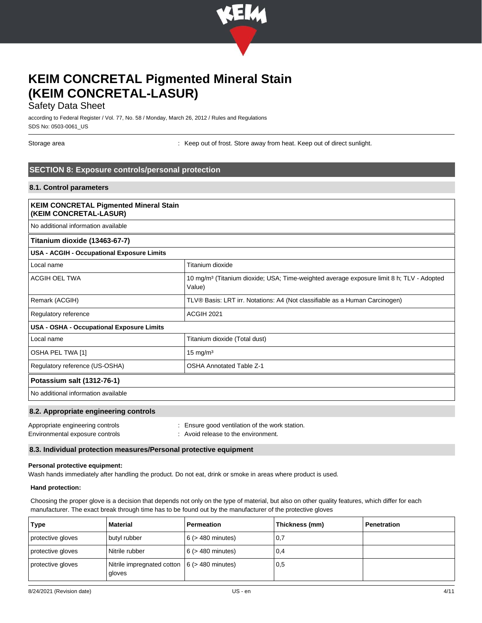

## Safety Data Sheet

according to Federal Register / Vol. 77, No. 58 / Monday, March 26, 2012 / Rules and Regulations SDS No: 0503-0061\_US

Storage area **in the state of the state of from the state area** in Store away from heat. Keep out of direct sunlight.

## **SECTION 8: Exposure controls/personal protection**

## **8.1. Control parameters**

| <b>KEIM CONCRETAL Pigmented Mineral Stain</b><br>(KEIM CONCRETAL-LASUR) |                                                                                                                |  |  |
|-------------------------------------------------------------------------|----------------------------------------------------------------------------------------------------------------|--|--|
| No additional information available                                     |                                                                                                                |  |  |
| Titanium dioxide (13463-67-7)                                           |                                                                                                                |  |  |
| USA - ACGIH - Occupational Exposure Limits                              |                                                                                                                |  |  |
| Local name                                                              | Titanium dioxide                                                                                               |  |  |
| <b>ACGIH OEL TWA</b>                                                    | 10 mg/m <sup>3</sup> (Titanium dioxide; USA; Time-weighted average exposure limit 8 h; TLV - Adopted<br>Value) |  |  |
| Remark (ACGIH)                                                          | TLV® Basis: LRT irr. Notations: A4 (Not classifiable as a Human Carcinogen)                                    |  |  |
| Regulatory reference                                                    | <b>ACGIH 2021</b>                                                                                              |  |  |
| USA - OSHA - Occupational Exposure Limits                               |                                                                                                                |  |  |
| Local name                                                              | Titanium dioxide (Total dust)                                                                                  |  |  |
| OSHA PEL TWA [1]                                                        | $15 \text{ mg/m}^3$                                                                                            |  |  |
| Regulatory reference (US-OSHA)                                          | <b>OSHA Annotated Table Z-1</b>                                                                                |  |  |
| Potassium salt (1312-76-1)                                              |                                                                                                                |  |  |
| No additional information available                                     |                                                                                                                |  |  |
|                                                                         |                                                                                                                |  |  |

## **8.2. Appropriate engineering controls**

| Appropriate engineering controls | : Ensure good ventilation of the work station. |
|----------------------------------|------------------------------------------------|
| Environmental exposure controls  | : Avoid release to the environment.            |

## **8.3. Individual protection measures/Personal protective equipment**

#### **Personal protective equipment:**

Wash hands immediately after handling the product. Do not eat, drink or smoke in areas where product is used.

#### **Hand protection:**

Choosing the proper glove is a decision that depends not only on the type of material, but also on other quality features, which differ for each manufacturer. The exact break through time has to be found out by the manufacturer of the protective gloves

| Type              | <b>Material</b>                                           | Permeation             | Thickness (mm) | <b>Penetration</b> |
|-------------------|-----------------------------------------------------------|------------------------|----------------|--------------------|
| protective gloves | butyl rubber                                              | $6$ ( $>$ 480 minutes) | 0,7            |                    |
| protective gloves | Nitrile rubber                                            | $6$ ( $>$ 480 minutes) | 0,4            |                    |
| protective gloves | Nitrile impregnated cotton $ 6$ (> 480 minutes)<br>gloves |                        | 0,5            |                    |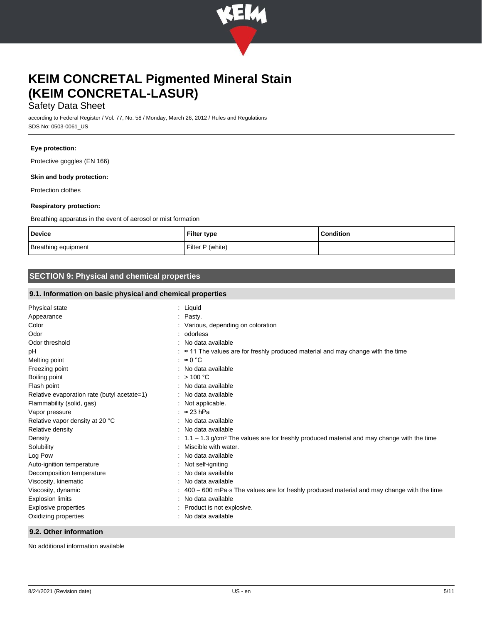

## Safety Data Sheet

according to Federal Register / Vol. 77, No. 58 / Monday, March 26, 2012 / Rules and Regulations SDS No: 0503-0061\_US

### **Eye protection:**

Protective goggles (EN 166)

#### **Skin and body protection:**

Protection clothes

#### **Respiratory protection:**

Breathing apparatus in the event of aerosol or mist formation

| <b>Device</b>       | <b>Filter type</b> | <b>Condition</b> |
|---------------------|--------------------|------------------|
| Breathing equipment | Filter P (white)   |                  |

## **SECTION 9: Physical and chemical properties**

## **9.1. Information on basic physical and chemical properties**

| Physical state                              | : Liquid                                                                                                           |
|---------------------------------------------|--------------------------------------------------------------------------------------------------------------------|
| Appearance                                  | : Pasty.                                                                                                           |
| Color                                       | : Various, depending on coloration                                                                                 |
| Odor                                        | : odorless                                                                                                         |
| Odor threshold                              | : No data available                                                                                                |
| рH                                          | $\therefore$ $\approx$ 11 The values are for freshly produced material and may change with the time                |
| Melting point                               | : $\approx 0$ °C                                                                                                   |
| Freezing point                              | : No data available                                                                                                |
| Boiling point                               | : $> 100 °C$                                                                                                       |
| Flash point                                 | : No data available                                                                                                |
| Relative evaporation rate (butyl acetate=1) | : No data available                                                                                                |
| Flammability (solid, gas)                   | : Not applicable.                                                                                                  |
| Vapor pressure                              | : $\approx$ 23 hPa                                                                                                 |
| Relative vapor density at 20 °C             | : No data available                                                                                                |
| Relative density                            | : No data available                                                                                                |
| Density                                     | $\therefore$ 1.1 – 1.3 g/cm <sup>3</sup> The values are for freshly produced material and may change with the time |
| Solubility                                  | Miscible with water.                                                                                               |
| Log Pow                                     | : No data available                                                                                                |
| Auto-ignition temperature                   | : Not self-igniting                                                                                                |
| Decomposition temperature                   | No data available                                                                                                  |
| Viscosity, kinematic                        | : No data available                                                                                                |
| Viscosity, dynamic                          | $\pm$ 400 – 600 mPa $\cdot$ s The values are for freshly produced material and may change with the time            |
| <b>Explosion limits</b>                     | No data available                                                                                                  |
| Explosive properties                        | Product is not explosive.                                                                                          |
| Oxidizing properties                        | : No data available                                                                                                |
| .                                           |                                                                                                                    |

## **9.2. Other information**

No additional information available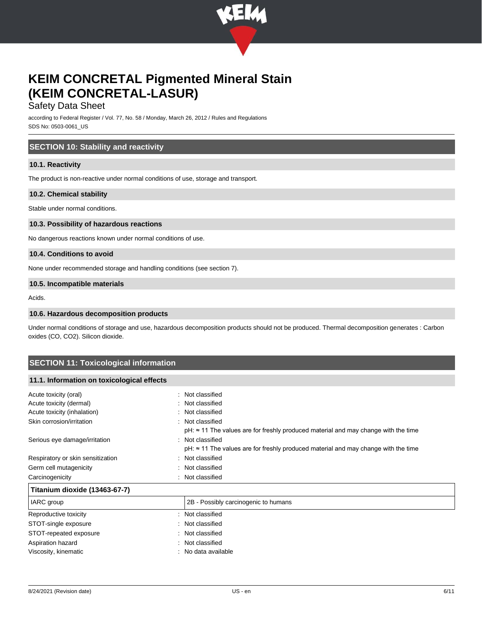

## Safety Data Sheet

according to Federal Register / Vol. 77, No. 58 / Monday, March 26, 2012 / Rules and Regulations SDS No: 0503-0061\_US

## **SECTION 10: Stability and reactivity**

## **10.1. Reactivity**

The product is non-reactive under normal conditions of use, storage and transport.

#### **10.2. Chemical stability**

Stable under normal conditions.

#### **10.3. Possibility of hazardous reactions**

No dangerous reactions known under normal conditions of use.

#### **10.4. Conditions to avoid**

None under recommended storage and handling conditions (see section 7).

#### **10.5. Incompatible materials**

Acids.

#### **10.6. Hazardous decomposition products**

Under normal conditions of storage and use, hazardous decomposition products should not be produced. Thermal decomposition generates : Carbon oxides (CO, CO2). Silicon dioxide.

## **SECTION 11: Toxicological information**

### **11.1. Information on toxicological effects**

| Acute toxicity (oral)             | Not classified                                                                             |
|-----------------------------------|--------------------------------------------------------------------------------------------|
| Acute toxicity (dermal)           | Not classified                                                                             |
| Acute toxicity (inhalation)       | Not classified                                                                             |
| Skin corrosion/irritation         | : Not classified                                                                           |
|                                   | $pH: \approx 11$ The values are for freshly produced material and may change with the time |
| Serious eye damage/irritation     | : Not classified                                                                           |
|                                   | $pH: \approx 11$ The values are for freshly produced material and may change with the time |
| Respiratory or skin sensitization | : Not classified                                                                           |
| Germ cell mutagenicity            | : Not classified                                                                           |
| Carcinogenicity                   | Not classified                                                                             |
| Titanium dioxide (13463-67-7)     |                                                                                            |
| IARC group                        | 2B - Possibly carcinogenic to humans                                                       |
| Reproductive toxicity             | : Not classified                                                                           |
| STOT-single exposure              | : Not classified                                                                           |
| STOT-repeated exposure            | : Not classified                                                                           |
| Aspiration hazard                 | Not classified                                                                             |
| Viscosity, kinematic              | No data available                                                                          |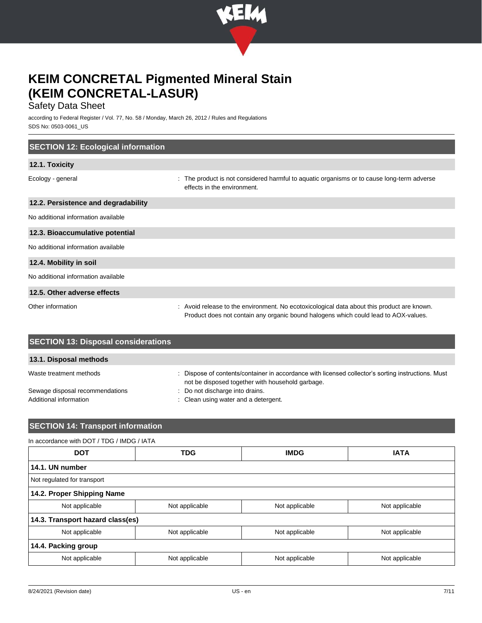

## Safety Data Sheet

according to Federal Register / Vol. 77, No. 58 / Monday, March 26, 2012 / Rules and Regulations SDS No: 0503-0061\_US

| <b>SECTION 12: Ecological information</b> |                                                                                                                                                                                   |  |
|-------------------------------------------|-----------------------------------------------------------------------------------------------------------------------------------------------------------------------------------|--|
| 12.1. Toxicity                            |                                                                                                                                                                                   |  |
| Ecology - general                         | : The product is not considered harmful to aquatic organisms or to cause long-term adverse<br>effects in the environment.                                                         |  |
| 12.2. Persistence and degradability       |                                                                                                                                                                                   |  |
| No additional information available       |                                                                                                                                                                                   |  |
| 12.3. Bioaccumulative potential           |                                                                                                                                                                                   |  |
| No additional information available       |                                                                                                                                                                                   |  |
| 12.4. Mobility in soil                    |                                                                                                                                                                                   |  |
| No additional information available       |                                                                                                                                                                                   |  |
| 12.5. Other adverse effects               |                                                                                                                                                                                   |  |
| Other information                         | : Avoid release to the environment. No ecotoxicological data about this product are known.<br>Product does not contain any organic bound halogens which could lead to AOX-values. |  |

| <b>SECTION 13: Disposal considerations</b>                |                                                                                                                                                        |  |
|-----------------------------------------------------------|--------------------------------------------------------------------------------------------------------------------------------------------------------|--|
| 13.1. Disposal methods                                    |                                                                                                                                                        |  |
| Waste treatment methods                                   | : Dispose of contents/container in accordance with licensed collector's sorting instructions. Must<br>not be disposed together with household garbage. |  |
| Sewage disposal recommendations<br>Additional information | : Do not discharge into drains.<br>: Clean using water and a detergent.                                                                                |  |

## **SECTION 14: Transport information**

## In accordance with DOT / TDG / IMDG / IATA **DOT TDG IMDG IATA 14.1. UN number** Not regulated for transport **14.2. Proper Shipping Name** Not applicable  $\blacksquare$  Not applicable  $\blacksquare$  Not applicable Not applicable Not applicable **14.3. Transport hazard class(es)** Not applicable **Not applicable** Not applicable Not applicable Not applicable Not applicable **14.4. Packing group** Not applicable  $\blacksquare$  Not applicable  $\blacksquare$  Not applicable Not applicable Not applicable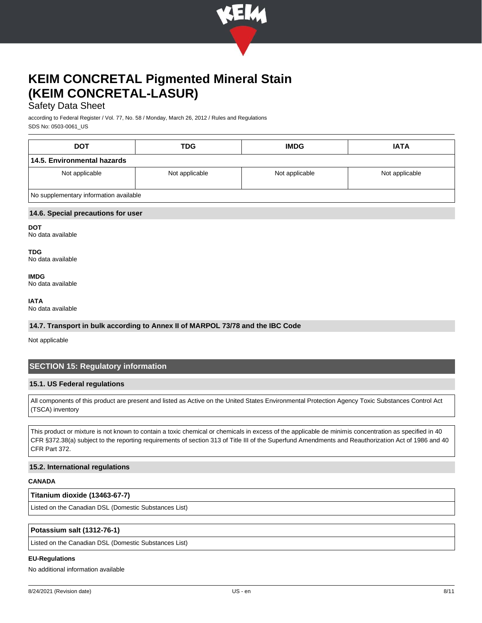

## Safety Data Sheet

according to Federal Register / Vol. 77, No. 58 / Monday, March 26, 2012 / Rules and Regulations SDS No: 0503-0061\_US

| <b>DOT</b>                             | <b>TDG</b>     | <b>IMDG</b>    | <b>IATA</b>    |
|----------------------------------------|----------------|----------------|----------------|
| 14.5. Environmental hazards            |                |                |                |
| Not applicable                         | Not applicable | Not applicable | Not applicable |
| No supplementary information available |                |                |                |

#### **14.6. Special precautions for user**

**DOT** No data available

**TDG**

No data available

#### **IMDG**

No data available

#### **IATA**

No data available

## **14.7. Transport in bulk according to Annex II of MARPOL 73/78 and the IBC Code**

Not applicable

## **SECTION 15: Regulatory information**

## **15.1. US Federal regulations**

All components of this product are present and listed as Active on the United States Environmental Protection Agency Toxic Substances Control Act (TSCA) inventory

This product or mixture is not known to contain a toxic chemical or chemicals in excess of the applicable de minimis concentration as specified in 40 CFR §372.38(a) subject to the reporting requirements of section 313 of Title III of the Superfund Amendments and Reauthorization Act of 1986 and 40 CFR Part 372.

#### **15.2. International regulations**

## **CANADA**

**Titanium dioxide (13463-67-7)**

Listed on the Canadian DSL (Domestic Substances List)

## **Potassium salt (1312-76-1)**

Listed on the Canadian DSL (Domestic Substances List)

#### **EU-Regulations**

No additional information available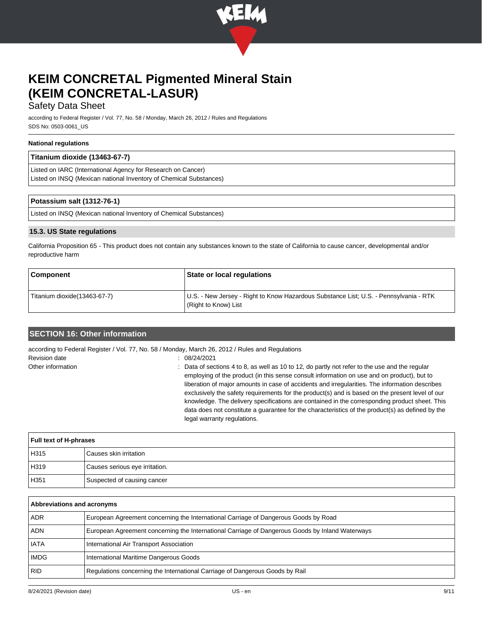

## Safety Data Sheet

according to Federal Register / Vol. 77, No. 58 / Monday, March 26, 2012 / Rules and Regulations SDS No: 0503-0061\_US

### **National regulations**

### **Titanium dioxide (13463-67-7)**

Listed on IARC (International Agency for Research on Cancer) Listed on INSQ (Mexican national Inventory of Chemical Substances)

## **Potassium salt (1312-76-1)**

Listed on INSQ (Mexican national Inventory of Chemical Substances)

## **15.3. US State regulations**

California Proposition 65 - This product does not contain any substances known to the state of California to cause cancer, developmental and/or reproductive harm

| <b>Component</b>              | State or local regulations                                                                                    |
|-------------------------------|---------------------------------------------------------------------------------------------------------------|
| Titanium dioxide (13463-67-7) | U.S. - New Jersey - Right to Know Hazardous Substance List; U.S. - Pennsylvania - RTK<br>(Right to Know) List |

## **SECTION 16: Other information**

according to Federal Register / Vol. 77, No. 58 / Monday, March 26, 2012 / Rules and Regulations

Revision date : 08/24/2021

Other information **interval of the sections**  $\sim$  2. Data of sections 4 to 8, as well as 10 to 12, do partly not refer to the use and the regular employing of the product (in this sense consult information on use and on product), but to liberation of major amounts in case of accidents and irregularities. The information describes exclusively the safety requirements for the product(s) and is based on the present level of our knowledge. The delivery specifications are contained in the corresponding product sheet. This data does not constitute a guarantee for the characteristics of the product(s) as defined by the legal warranty regulations.

| <b>Full text of H-phrases</b> |                                |
|-------------------------------|--------------------------------|
| H315                          | Causes skin irritation         |
| H319                          | Causes serious eye irritation. |
| H351                          | Suspected of causing cancer    |

| Abbreviations and acronyms |                                                                                                 |
|----------------------------|-------------------------------------------------------------------------------------------------|
| <b>ADR</b>                 | European Agreement concerning the International Carriage of Dangerous Goods by Road             |
| <b>ADN</b>                 | European Agreement concerning the International Carriage of Dangerous Goods by Inland Waterways |
| <b>IATA</b>                | International Air Transport Association                                                         |
| <b>IMDG</b>                | International Maritime Dangerous Goods                                                          |
| <b>RID</b>                 | Regulations concerning the International Carriage of Dangerous Goods by Rail                    |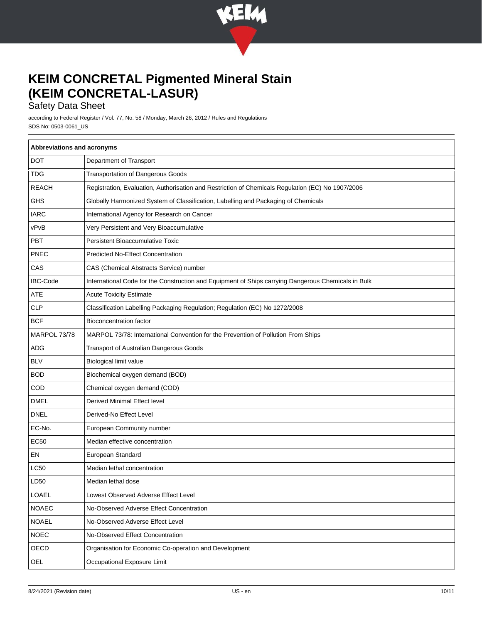

## Safety Data Sheet

according to Federal Register / Vol. 77, No. 58 / Monday, March 26, 2012 / Rules and Regulations SDS No: 0503-0061\_US

| Abbreviations and acronyms |                                                                                                     |  |
|----------------------------|-----------------------------------------------------------------------------------------------------|--|
| <b>DOT</b>                 | Department of Transport                                                                             |  |
| <b>TDG</b>                 | <b>Transportation of Dangerous Goods</b>                                                            |  |
| <b>REACH</b>               | Registration, Evaluation, Authorisation and Restriction of Chemicals Regulation (EC) No 1907/2006   |  |
| <b>GHS</b>                 | Globally Harmonized System of Classification, Labelling and Packaging of Chemicals                  |  |
| <b>IARC</b>                | International Agency for Research on Cancer                                                         |  |
| vPvB                       | Very Persistent and Very Bioaccumulative                                                            |  |
| <b>PBT</b>                 | Persistent Bioaccumulative Toxic                                                                    |  |
| PNEC                       | <b>Predicted No-Effect Concentration</b>                                                            |  |
| CAS                        | CAS (Chemical Abstracts Service) number                                                             |  |
| <b>IBC-Code</b>            | International Code for the Construction and Equipment of Ships carrying Dangerous Chemicals in Bulk |  |
| ATE                        | <b>Acute Toxicity Estimate</b>                                                                      |  |
| <b>CLP</b>                 | Classification Labelling Packaging Regulation; Regulation (EC) No 1272/2008                         |  |
| <b>BCF</b>                 | <b>Bioconcentration factor</b>                                                                      |  |
| MARPOL 73/78               | MARPOL 73/78: International Convention for the Prevention of Pollution From Ships                   |  |
| ADG                        | Transport of Australian Dangerous Goods                                                             |  |
| <b>BLV</b>                 | Biological limit value                                                                              |  |
| <b>BOD</b>                 | Biochemical oxygen demand (BOD)                                                                     |  |
| COD                        | Chemical oxygen demand (COD)                                                                        |  |
| <b>DMEL</b>                | Derived Minimal Effect level                                                                        |  |
| <b>DNEL</b>                | Derived-No Effect Level                                                                             |  |
| EC-No.                     | European Community number                                                                           |  |
| <b>EC50</b>                | Median effective concentration                                                                      |  |
| EN                         | European Standard                                                                                   |  |
| LC50                       | Median lethal concentration                                                                         |  |
| LD50                       | Median lethal dose                                                                                  |  |
| LOAEL                      | Lowest Observed Adverse Effect Level                                                                |  |
| <b>NOAEC</b>               | No-Observed Adverse Effect Concentration                                                            |  |
| <b>NOAEL</b>               | No-Observed Adverse Effect Level                                                                    |  |
| <b>NOEC</b>                | No-Observed Effect Concentration                                                                    |  |
| OECD                       | Organisation for Economic Co-operation and Development                                              |  |
| OEL                        | Occupational Exposure Limit                                                                         |  |